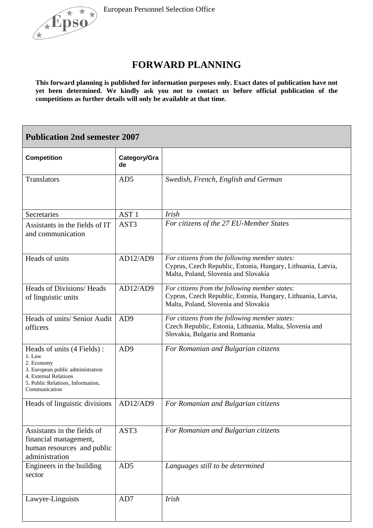



## **FORWARD PLANNING**

**This forward planning is published for information purposes only. Exact dates of publication have not yet been determined. We kindly ask you not to contact us before official publication of the competitions as further details will only be available at that time.**

| <b>Publication 2nd semester 2007</b>                                                                                                                                   |                    |                                                                                                                                                        |  |  |
|------------------------------------------------------------------------------------------------------------------------------------------------------------------------|--------------------|--------------------------------------------------------------------------------------------------------------------------------------------------------|--|--|
| <b>Competition</b>                                                                                                                                                     | Category/Gra<br>de |                                                                                                                                                        |  |  |
| Translators                                                                                                                                                            | AD5                | Swedish, French, English and German                                                                                                                    |  |  |
| Secretaries                                                                                                                                                            | AST <sub>1</sub>   | <b>Irish</b>                                                                                                                                           |  |  |
| Assistants in the fields of IT<br>and communication                                                                                                                    | AST3               | For citizens of the 27 EU-Member States                                                                                                                |  |  |
| Heads of units                                                                                                                                                         | AD12/AD9           | For citizens from the following member states:<br>Cyprus, Czech Republic, Estonia, Hungary, Lithuania, Latvia,<br>Malta, Poland, Slovenia and Slovakia |  |  |
| Heads of Divisions/Heads<br>of linguistic units                                                                                                                        | AD12/AD9           | For citizens from the following member states:<br>Cyprus, Czech Republic, Estonia, Hungary, Lithuania, Latvia,<br>Malta, Poland, Slovenia and Slovakia |  |  |
| Heads of units/ Senior Audit<br>officers                                                                                                                               | AD <sub>9</sub>    | For citizens from the following member states:<br>Czech Republic, Estonia, Lithuania, Malta, Slovenia and<br>Slovakia, Bulgaria and Romania            |  |  |
| Heads of units (4 Fields):<br>1. Law<br>2. Economy<br>3. European public administration<br>4. External Relations<br>5. Public Relations, Information,<br>Communication | AD <sub>9</sub>    | For Romanian and Bulgarian citizens                                                                                                                    |  |  |
| Heads of linguistic divisions                                                                                                                                          | AD12/AD9           | For Romanian and Bulgarian citizens                                                                                                                    |  |  |
| Assistants in the fields of<br>financial management,<br>human resources and public<br>administration                                                                   | AST3               | For Romanian and Bulgarian citizens                                                                                                                    |  |  |
| Engineers in the building<br>sector                                                                                                                                    | AD5                | Languages still to be determined                                                                                                                       |  |  |
| Lawyer-Linguists                                                                                                                                                       | AD7                | <b>Irish</b>                                                                                                                                           |  |  |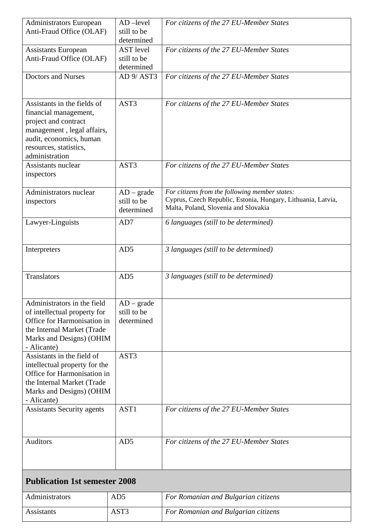| <b>Administrators European</b><br>Anti-Fraud Office (OLAF)                                                                                                                        | $AD$ -level<br>still to be<br>determined      | For citizens of the 27 EU-Member States                                                                                                                |  |  |
|-----------------------------------------------------------------------------------------------------------------------------------------------------------------------------------|-----------------------------------------------|--------------------------------------------------------------------------------------------------------------------------------------------------------|--|--|
| <b>Assistants European</b><br>Anti-Fraud Office (OLAF)                                                                                                                            | <b>AST</b> level<br>still to be<br>determined | For citizens of the 27 EU-Member States                                                                                                                |  |  |
| <b>Doctors and Nurses</b>                                                                                                                                                         | AD 9/AST3                                     | For citizens of the 27 EU-Member States                                                                                                                |  |  |
| Assistants in the fields of<br>financial management,<br>project and contract<br>management, legal affairs,<br>audit, economics, human<br>resources, statistics,<br>administration | AST3                                          | For citizens of the 27 EU-Member States                                                                                                                |  |  |
| Assistants nuclear<br>inspectors                                                                                                                                                  | AST3                                          | For citizens of the 27 EU-Member States                                                                                                                |  |  |
| Administrators nuclear<br>inspectors                                                                                                                                              | $AD - grade$<br>still to be<br>determined     | For citizens from the following member states:<br>Cyprus, Czech Republic, Estonia, Hungary, Lithuania, Latvia,<br>Malta, Poland, Slovenia and Slovakia |  |  |
| Lawyer-Linguists                                                                                                                                                                  | AD7                                           | 6 languages (still to be determined)                                                                                                                   |  |  |
| Interpreters                                                                                                                                                                      | AD5                                           | 3 languages (still to be determined)                                                                                                                   |  |  |
| <b>Translators</b>                                                                                                                                                                | AD5                                           | 3 languages (still to be determined)                                                                                                                   |  |  |
| Administrators in the field<br>of intellectual property for<br>Office for Harmonisation in<br>the Internal Market (Trade<br>Marks and Designs) (OHIM<br>- Alicante)               | $AD - grade$<br>still to be<br>determined     |                                                                                                                                                        |  |  |
| Assistants in the field of<br>intellectual property for the<br>Office for Harmonisation in<br>the Internal Market (Trade<br>Marks and Designs) (OHIM<br>- Alicante)               | AST3                                          |                                                                                                                                                        |  |  |
| <b>Assistants Security agents</b>                                                                                                                                                 | AST1                                          | For citizens of the 27 EU-Member States                                                                                                                |  |  |
| <b>Auditors</b>                                                                                                                                                                   | AD5                                           | For citizens of the 27 EU-Member States                                                                                                                |  |  |
| <b>Publication 1st semester 2008</b>                                                                                                                                              |                                               |                                                                                                                                                        |  |  |
| Administrators                                                                                                                                                                    | AD <sub>5</sub>                               | For Romanian and Bulgarian citizens                                                                                                                    |  |  |
| <b>Assistants</b>                                                                                                                                                                 | AST3                                          | For Romanian and Bulgarian citizens                                                                                                                    |  |  |